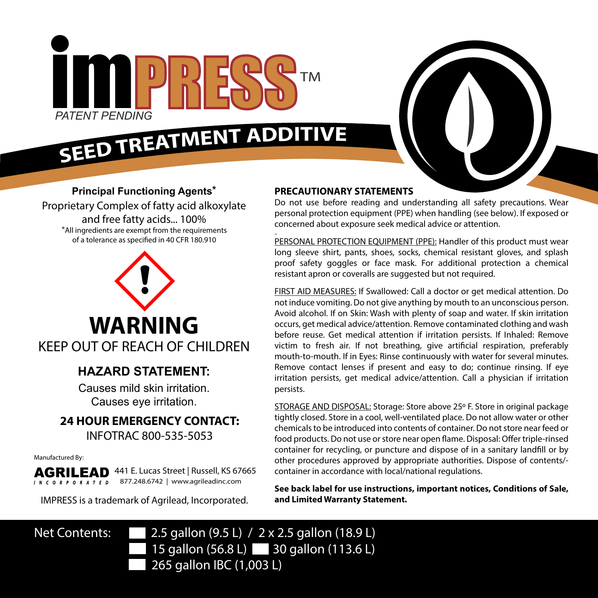

# SEED TREATMENT ADDITIVE



#### **Principal Functioning Agents\***

Proprietary Complex of fatty acid alkoxylate and free fatty acids... 100% \*All ingredients are exempt from the requirements of a tolerance as specified in 40 CFR 180.910



### **HAZARD STATEMENT:**

Causes mild skin irritation. Causes eye irritation.

## **24 HOUR EMERGENCY CONTACT:**

INFOTRAC 800-535-5053

Manufactured By:

441 E. Lucas Street | Russell, KS 67665 AGRILEAD 877.248.6742 | www.agrileadinc.com **INCORPORATED** 

IMPRESS is a trademark of Agrilead, Incorporated.

#### **PRECAUTIONARY STATEMENTS**

Do not use before reading and understanding all safety precautions. Wear personal protection equipment (PPE) when handling (see below). If exposed or concerned about exposure seek medical advice or attention. l

PERSONAL PROTECTION EQUIPMENT (PPE): Handler of this product must wear long sleeve shirt, pants, shoes, socks, chemical resistant gloves, and splash proof safety goggles or face mask. For additional protection a chemical resistant apron or coveralls are suggested but not required.

FIRST AID MEASURES: If Swallowed: Call a doctor or get medical attention. Do not induce vomiting. Do not give anything by mouth to an unconscious person. Avoid alcohol. If on Skin: Wash with plenty of soap and water. If skin irritation occurs, get medical advice/attention. Remove contaminated clothing and wash before reuse. Get medical attention if irritation persists. If Inhaled: Remove victim to fresh air. If not breathing, give artificial respiration, preferably mouth-to-mouth. If in Eyes: Rinse continuously with water for several minutes. Remove contact lenses if present and easy to do; continue rinsing. If eye irritation persists, get medical advice/attention. Call a physician if irritation persists.

STORAGE AND DISPOSAL: Storage: Store above 25º F. Store in original package tightly closed. Store in a cool, well-ventilated place. Do not allow water or other chemicals to be introduced into contents of container. Do not store near feed or food products. Do not use or store near open flame. Disposal: Offer triple-rinsed container for recycling, or puncture and dispose of in a sanitary landfill or by other procedures approved by appropriate authorities. Dispose of contents/ container in accordance with local/national regulations.

**See back label for use instructions, important notices, Conditions of Sale, and Limited Warranty Statement.** 

Net Contents: 2.5 gallon (9.5 L) / 2 x 2.5 gallon (18.9 L) 15 gallon (56.8 L) 30 gallon (113.6 L) 265 gallon IBC (1,003 L)